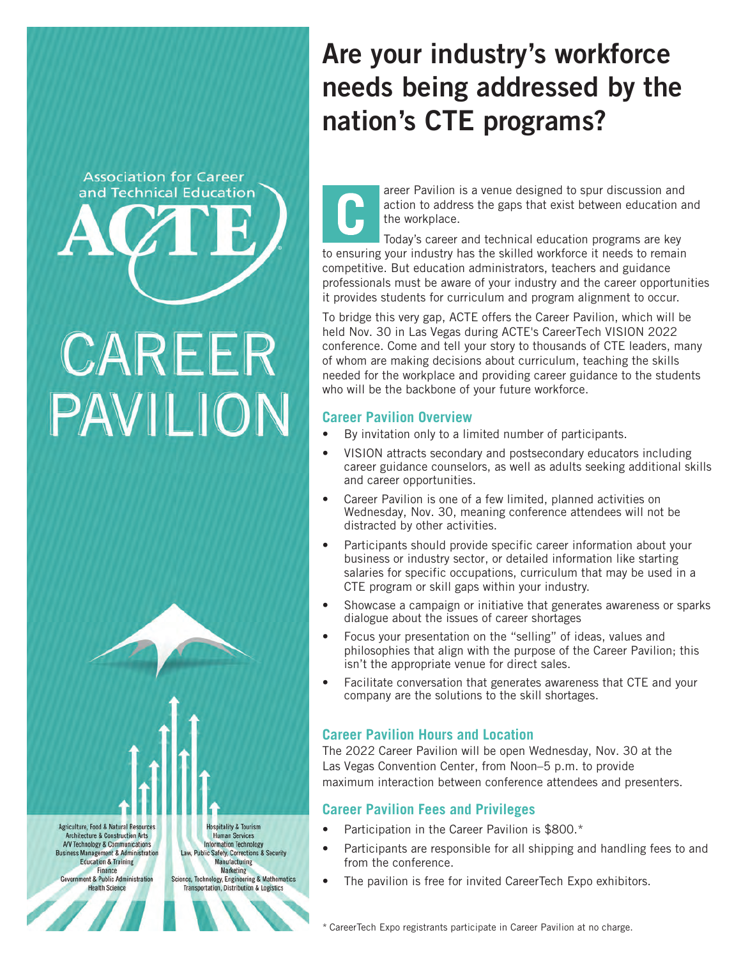# **Association for Career** and Technical Education

®

# CAREER PAVILION

| <b>Agriculture, Food &amp; Natural Resources</b> | <b>Hospitality &amp; Tourism</b>                    |
|--------------------------------------------------|-----------------------------------------------------|
| <b>Architecture &amp; Construction Arts</b>      | <b>Human Services</b>                               |
| A/V Technology & Communications                  | <b>Information Technology</b>                       |
| <b>Business Management &amp; Administration</b>  | Law, Public Safety, Corrections & Security          |
| <b>Education &amp; Training</b>                  | <b>Manufacturing</b>                                |
| Finance                                          | <b>Marketing</b>                                    |
| <b>Government &amp; Public Administration</b>    | Science, Technology, Engineering & Mathematics      |
| <b>Health Science</b>                            | <b>Transportation, Distribution &amp; Logistics</b> |

# Are your industry's workforce needs being addressed by the nation's CTE programs?

areer Pavilion is a venue designed to spur discussion and action to address the gaps that exist between education and the workplace.

Today's career and technical education programs are key to ensuring your industry has the skilled workforce it needs to remain competitive. But education administrators, teachers and guidance professionals must be aware of your industry and the career opportunities it provides students for curriculum and program alignment to occur.

To bridge this very gap, ACTE offers the Career Pavilion, which will be held Nov. 30 in Las Vegas during ACTE's CareerTech VISION 2022 conference. Come and tell your story to thousands of CTE leaders, many of whom are making decisions about curriculum, teaching the skills needed for the workplace and providing career guidance to the students who will be the backbone of your future workforce.

#### **Career Pavilion Overview**

- By invitation only to a limited number of participants.
- VISION attracts secondary and postsecondary educators including career guidance counselors, as well as adults seeking additional skills and career opportunities.
- Career Pavilion is one of a few limited, planned activities on Wednesday, Nov. 30, meaning conference attendees will not be distracted by other activities.
- Participants should provide specific career information about your business or industry sector, or detailed information like starting salaries for specific occupations, curriculum that may be used in a CTE program or skill gaps within your industry.
- Showcase a campaign or initiative that generates awareness or sparks dialogue about the issues of career shortages
- Focus your presentation on the "selling" of ideas, values and philosophies that align with the purpose of the Career Pavilion; this isn't the appropriate venue for direct sales.
- Facilitate conversation that generates awareness that CTE and your company are the solutions to the skill shortages.

## **Career Pavilion Hours and Location**

The 2022 Career Pavilion will be open Wednesday, Nov. 30 at the Las Vegas Convention Center, from Noon–5 p.m. to provide maximum interaction between conference attendees and presenters.

## **Career Pavilion Fees and Privileges**

- Participation in the Career Pavilion is \$800.\*
- Participants are responsible for all shipping and handling fees to and from the conference.
- The pavilion is free for invited CareerTech Expo exhibitors.